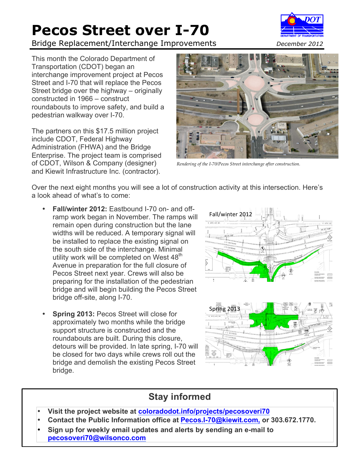# **Pecos Street over I-70**

Bridge Replacement/Interchange Improvements *December 2012*



This month the Colorado Department of Transportation (CDOT) began an interchange improvement project at Pecos Street and I-70 that will replace the Pecos Street bridge over the highway – originally constructed in 1966 – construct roundabouts to improve safety, and build a pedestrian walkway over I-70.

The partners on this \$17.5 million project include CDOT, Federal Highway Administration (FHWA) and the Bridge Enterprise. The project team is comprised of CDOT, Wilson & Company (designer) and Kiewit Infrastructure Inc. (contractor).



*Rendering of the I-70/Pecos Street interchange after construction.*

Over the next eight months you will see a lot of construction activity at this intersection. Here's a look ahead of what's to come:

- **Fall/winter 2012:** Eastbound I-70 on- and offramp work began in November. The ramps will remain open during construction but the lane widths will be reduced. A temporary signal will be installed to replace the existing signal on the south side of the interchange. Minimal utility work will be completed on West 48<sup>th</sup> Avenue in preparation for the full closure of Pecos Street next year. Crews will also be preparing for the installation of the pedestrian bridge and will begin building the Pecos Street bridge off-site, along I-70.
- **Spring 2013: Pecos Street will close for** approximately two months while the bridge support structure is constructed and the roundabouts are built. During this closure, detours will be provided. In late spring, I-70 will be closed for two days while crews roll out the bridge and demolish the existing Pecos Street bridge.





### **Stay informed**

- **Visit the project website at coloradodot.info/projects/pecosoveri70**
- **Contact the Public Information office at Pecos.I-70@kiewit.com, or 303.672.1770.**
- **Sign up for weekly email updates and alerts by sending an e-mail to pecosoveri70@wilsonco.com**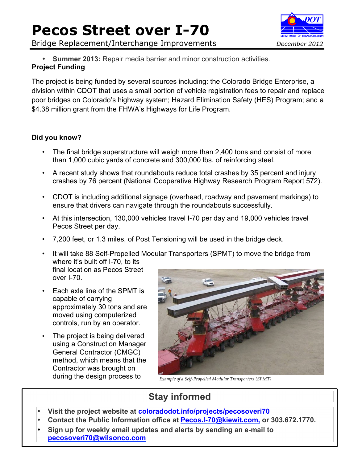## **Pecos Street over I-70**

Bridge Replacement/Interchange Improvements *December 2012*



• **Summer 2013:** Repair media barrier and minor construction activities. **Project Funding**

The project is being funded by several sources including: the Colorado Bridge Enterprise, a division within CDOT that uses a small portion of vehicle registration fees to repair and replace poor bridges on Colorado's highway system; Hazard Elimination Safety (HES) Program; and a \$4.38 million grant from the FHWA's Highways for Life Program.

#### **Did you know?**

- The final bridge superstructure will weigh more than 2,400 tons and consist of more than 1,000 cubic yards of concrete and 300,000 lbs. of reinforcing steel.
- A recent study shows that roundabouts reduce total crashes by 35 percent and injury crashes by 76 percent (National Cooperative Highway Research Program Report 572).
- CDOT is including additional signage (overhead, roadway and pavement markings) to ensure that drivers can navigate through the roundabouts successfully.
- At this intersection, 130,000 vehicles travel I-70 per day and 19,000 vehicles travel Pecos Street per day.
- 7,200 feet, or 1.3 miles, of Post Tensioning will be used in the bridge deck.
- It will take 88 Self-Propelled Modular Transporters (SPMT) to move the bridge from where it's built off I-70, to its final location as Pecos Street over I-70.
- Each axle line of the SPMT is capable of carrying approximately 30 tons and are moved using computerized controls, run by an operator.
- The project is being delivered using a Construction Manager General Contractor (CMGC) method, which means that the Contractor was brought on during the design process to *Example of a Self-Propelled Modular Transporters (SPMT)*



### **Stay informed**

- **Visit the project website at coloradodot.info/projects/pecosoveri70**
- **Contact the Public Information office at Pecos.I-70@kiewit.com, or 303.672.1770.**
- **Sign up for weekly email updates and alerts by sending an e-mail to pecosoveri70@wilsonco.com**